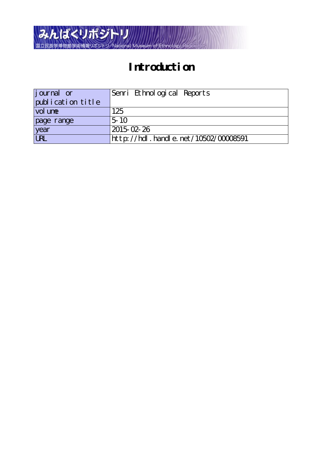

# **Introduction**

| <i>j</i> ournal or | Senri Ethnological Reports               |
|--------------------|------------------------------------------|
| publication title  |                                          |
| vol une            | 125                                      |
| page range         | $.5 \; 10$                               |
| year               | 2015-02-26                               |
| URL                | http://hdl . handl e. net/10502/00008591 |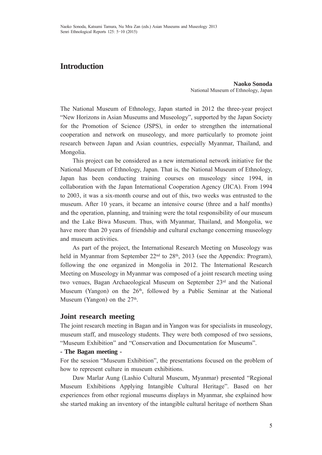# **Introduction**

**Naoko Sonoda** National Museum of Ethnology, Japan

The National Museum of Ethnology, Japan started in 2012 the three-year project "New Horizons in Asian Museums and Museology", supported by the Japan Society for the Promotion of Science (JSPS), in order to strengthen the international cooperation and network on museology, and more particularly to promote joint research between Japan and Asian countries, especially Myanmar, Thailand, and Mongolia.

 This project can be considered as a new international network initiative for the National Museum of Ethnology, Japan. That is, the National Museum of Ethnology, Japan has been conducting training courses on museology since 1994, in collaboration with the Japan International Cooperation Agency (JICA). From 1994 to 2003, it was a six-month course and out of this, two weeks was entrusted to the museum. After 10 years, it became an intensive course (three and a half months) and the operation, planning, and training were the total responsibility of our museum and the Lake Biwa Museum. Thus, with Myanmar, Thailand, and Mongolia, we have more than 20 years of friendship and cultural exchange concerning museology and museum activities.

 As part of the project, the International Research Meeting on Museology was held in Myanmar from September 22<sup>nd</sup> to 28<sup>th</sup>, 2013 (see the Appendix: Program), following the one organized in Mongolia in 2012. The International Research Meeting on Museology in Myanmar was composed of a joint research meeting using two venues, Bagan Archaeological Museum on September 23rd and the National Museum (Yangon) on the 26<sup>th</sup>, followed by a Public Seminar at the National Museum (Yangon) on the  $27<sup>th</sup>$ .

### **Joint research meeting**

The joint research meeting in Bagan and in Yangon was for specialists in museology, museum staff, and museology students. They were both composed of two sessions, "Museum Exhibition" and "Conservation and Documentation for Museums".

#### **- The Bagan meeting -**

For the session "Museum Exhibition", the presentations focused on the problem of how to represent culture in museum exhibitions.

 Daw Marlar Aung (Lashio Cultural Museum, Myanmar) presented "Regional Museum Exhibitions Applying Intangible Cultural Heritage". Based on her experiences from other regional museums displays in Myanmar, she explained how she started making an inventory of the intangible cultural heritage of northern Shan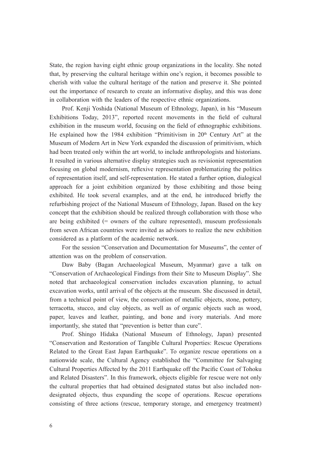State, the region having eight ethnic group organizations in the locality. She noted that, by preserving the cultural heritage within one's region, it becomes possible to cherish with value the cultural heritage of the nation and preserve it. She pointed out the importance of research to create an informative display, and this was done in collaboration with the leaders of the respective ethnic organizations.

 Prof. Kenji Yoshida (National Museum of Ethnology, Japan), in his "Museum Exhibitions Today, 2013", reported recent movements in the field of cultural exhibition in the museum world, focusing on the field of ethnographic exhibitions. He explained how the 1984 exhibition "Primitivism in 20<sup>th</sup> Century Art" at the Museum of Modern Art in New York expanded the discussion of primitivism, which had been treated only within the art world, to include anthropologists and historians. It resulted in various alternative display strategies such as revisionist representation focusing on global modernism, reflexive representation problematizing the politics of representation itself, and self-representation. He stated a further option, dialogical approach for a joint exhibition organized by those exhibiting and those being exhibited. He took several examples, and at the end, he introduced briefly the refurbishing project of the National Museum of Ethnology, Japan. Based on the key concept that the exhibition should be realized through collaboration with those who are being exhibited (= owners of the culture represented), museum professionals from seven African countries were invited as advisors to realize the new exhibition considered as a platform of the academic network.

 For the session "Conservation and Documentation for Museums", the center of attention was on the problem of conservation.

 Daw Baby (Bagan Archaeological Museum, Myanmar) gave a talk on "Conservation of Archaeological Findings from their Site to Museum Display". She noted that archaeological conservation includes excavation planning, to actual excavation works, until arrival of the objects at the museum. She discussed in detail, from a technical point of view, the conservation of metallic objects, stone, pottery, terracotta, stucco, and clay objects, as well as of organic objects such as wood, paper, leaves and leather, painting, and bone and ivory materials. And more importantly, she stated that "prevention is better than cure".

 Prof. Shingo Hidaka (National Museum of Ethnology, Japan) presented "Conservation and Restoration of Tangible Cultural Properties: Rescue Operations Related to the Great East Japan Earthquake". To organize rescue operations on a nationwide scale, the Cultural Agency established the "Committee for Salvaging Cultural Properties Affected by the 2011 Earthquake off the Pacific Coast of Tohoku and Related Disasters". In this framework, objects eligible for rescue were not only the cultural properties that had obtained designated status but also included nondesignated objects, thus expanding the scope of operations. Rescue operations consisting of three actions (rescue, temporary storage, and emergency treatment)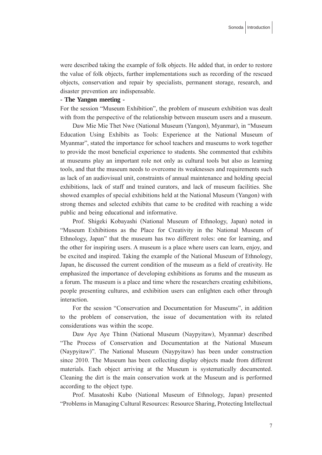were described taking the example of folk objects. He added that, in order to restore the value of folk objects, further implementations such as recording of the rescued objects, conservation and repair by specialists, permanent storage, research, and disaster prevention are indispensable.

#### **- The Yangon meeting -**

For the session "Museum Exhibition", the problem of museum exhibition was dealt with from the perspective of the relationship between museum users and a museum.

 Daw Mie Mie Thet Nwe (National Museum (Yangon), Myanmar), in "Museum Education Using Exhibits as Tools: Experience at the National Museum of Myanmar", stated the importance for school teachers and museums to work together to provide the most beneficial experience to students. She commented that exhibits at museums play an important role not only as cultural tools but also as learning tools, and that the museum needs to overcome its weaknesses and requirements such as lack of an audiovisual unit, constraints of annual maintenance and holding special exhibitions, lack of staff and trained curators, and lack of museum facilities. She showed examples of special exhibitions held at the National Museum (Yangon) with strong themes and selected exhibits that came to be credited with reaching a wide public and being educational and informative.

 Prof. Shigeki Kobayashi (National Museum of Ethnology, Japan) noted in "Museum Exhibitions as the Place for Creativity in the National Museum of Ethnology, Japan" that the museum has two different roles: one for learning, and the other for inspiring users. A museum is a place where users can learn, enjoy, and be excited and inspired. Taking the example of the National Museum of Ethnology, Japan, he discussed the current condition of the museum as a field of creativity. He emphasized the importance of developing exhibitions as forums and the museum as a forum. The museum is a place and time where the researchers creating exhibitions, people presenting cultures, and exhibition users can enlighten each other through interaction.

 For the session "Conservation and Documentation for Museums", in addition to the problem of conservation, the issue of documentation with its related considerations was within the scope.

 Daw Aye Aye Thinn (National Museum (Naypyitaw), Myanmar) described "The Process of Conservation and Documentation at the National Museum (Naypyitaw)". The National Museum (Naypyitaw) has been under construction since 2010. The Museum has been collecting display objects made from different materials. Each object arriving at the Museum is systematically documented. Cleaning the dirt is the main conservation work at the Museum and is performed according to the object type.

 Prof. Masatoshi Kubo (National Museum of Ethnology, Japan) presented "Problems in Managing Cultural Resources: Resource Sharing, Protecting Intellectual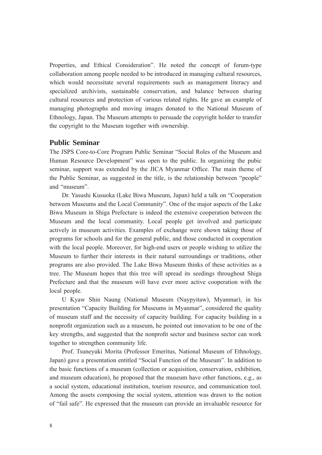Properties, and Ethical Consideration". He noted the concept of forum-type collaboration among people needed to be introduced in managing cultural resources, which would necessitate several requirements such as management literacy and specialized archivists, sustainable conservation, and balance between sharing cultural resources and protection of various related rights. He gave an example of managing photographs and moving images donated to the National Museum of Ethnology, Japan. The Museum attempts to persuade the copyright holder to transfer the copyright to the Museum together with ownership.

## **Public Seminar**

The JSPS Core-to-Core Program Public Seminar "Social Roles of the Museum and Human Resource Development" was open to the public. In organizing the pubic seminar, support was extended by the JICA Myanmar Office. The main theme of the Public Seminar, as suggested in the title, is the relationship between "people" and "museum".

 Dr. Yasushi Kusuoka (Lake Biwa Museum, Japan) held a talk on "Cooperation between Museums and the Local Community". One of the major aspects of the Lake Biwa Museum in Shiga Prefecture is indeed the extensive cooperation between the Museum and the local community. Local people get involved and participate actively in museum activities. Examples of exchange were shown taking those of programs for schools and for the general public, and those conducted in cooperation with the local people. Moreover, for high-end users or people wishing to utilize the Museum to further their interests in their natural surroundings or traditions, other programs are also provided. The Lake Biwa Museum thinks of these activities as a tree. The Museum hopes that this tree will spread its seedings throughout Shiga Prefecture and that the museum will have ever more active cooperation with the local people.

 U Kyaw Shin Naung (National Museum (Naypyitaw), Myanmar), in his presentation "Capacity Building for Museums in Myanmar", considered the quality of museum staff and the necessity of capacity building. For capacity building in a nonprofit organization such as a museum, he pointed out innovation to be one of the key strengths, and suggested that the nonprofit sector and business sector can work together to strengthen community life.

 Prof. Tsuneyuki Morita (Professor Emeritus, National Museum of Ethnology, Japan) gave a presentation entitled "Social Function of the Museum". In addition to the basic functions of a museum (collection or acquisition, conservation, exhibition, and museum education), he proposed that the museum have other functions, e.g., as a social system, educational institution, tourism resource, and communication tool. Among the assets composing the social system, attention was drawn to the notion of "fail safe". He expressed that the museum can provide an invaluable resource for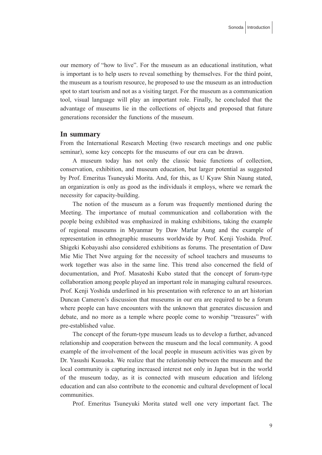our memory of "how to live". For the museum as an educational institution, what is important is to help users to reveal something by themselves. For the third point, the museum as a tourism resource, he proposed to use the museum as an introduction spot to start tourism and not as a visiting target. For the museum as a communication tool, visual language will play an important role. Finally, he concluded that the advantage of museums lie in the collections of objects and proposed that future generations reconsider the functions of the museum.

#### **In summary**

From the International Research Meeting (two research meetings and one public seminar), some key concepts for the museums of our era can be drawn.

 A museum today has not only the classic basic functions of collection, conservation, exhibition, and museum education, but larger potential as suggested by Prof. Emeritus Tsuneyuki Morita. And, for this, as U Kyaw Shin Naung stated, an organization is only as good as the individuals it employs, where we remark the necessity for capacity-building.

 The notion of the museum as a forum was frequently mentioned during the Meeting. The importance of mutual communication and collaboration with the people being exhibited was emphasized in making exhibitions, taking the example of regional museums in Myanmar by Daw Marlar Aung and the example of representation in ethnographic museums worldwide by Prof. Kenji Yoshida. Prof. Shigeki Kobayashi also considered exhibitions as forums. The presentation of Daw Mie Mie Thet Nwe arguing for the necessity of school teachers and museums to work together was also in the same line. This trend also concerned the field of documentation, and Prof. Masatoshi Kubo stated that the concept of forum-type collaboration among people played an important role in managing cultural resources. Prof. Kenji Yoshida underlined in his presentation with reference to an art historian Duncan Cameron's discussion that museums in our era are required to be a forum where people can have encounters with the unknown that generates discussion and debate, and no more as a temple where people come to worship "treasures" with pre-established value.

 The concept of the forum-type museum leads us to develop a further, advanced relationship and cooperation between the museum and the local community. A good example of the involvement of the local people in museum activities was given by Dr. Yasushi Kusuoka. We realize that the relationship between the museum and the local community is capturing increased interest not only in Japan but in the world of the museum today, as it is connected with museum education and lifelong education and can also contribute to the economic and cultural development of local communities.

Prof. Emeritus Tsuneyuki Morita stated well one very important fact. The